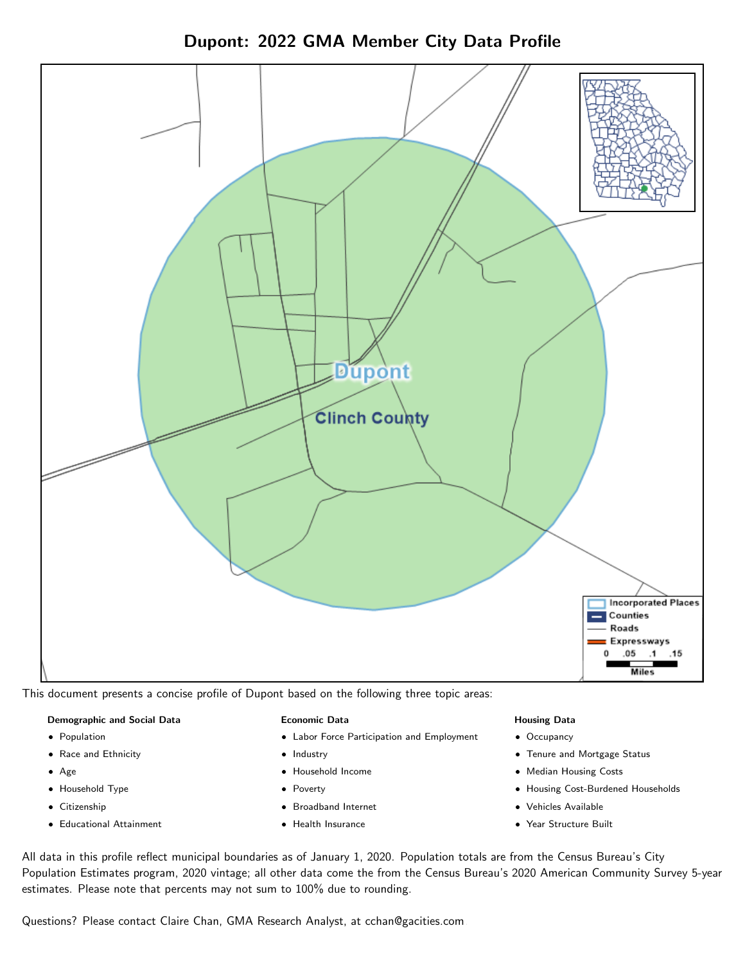



This document presents a concise profile of Dupont based on the following three topic areas:

#### Demographic and Social Data

- **•** Population
- Race and Ethnicity
- Age
- Household Type
- **Citizenship**
- Educational Attainment

#### Economic Data

- Labor Force Participation and Employment
- Industry
- Household Income
- Poverty
- Broadband Internet
- Health Insurance

#### Housing Data

- Occupancy
- Tenure and Mortgage Status
- Median Housing Costs
- Housing Cost-Burdened Households
- Vehicles Available
- Year Structure Built

All data in this profile reflect municipal boundaries as of January 1, 2020. Population totals are from the Census Bureau's City Population Estimates program, 2020 vintage; all other data come the from the Census Bureau's 2020 American Community Survey 5-year estimates. Please note that percents may not sum to 100% due to rounding.

Questions? Please contact Claire Chan, GMA Research Analyst, at [cchan@gacities.com.](mailto:cchan@gacities.com)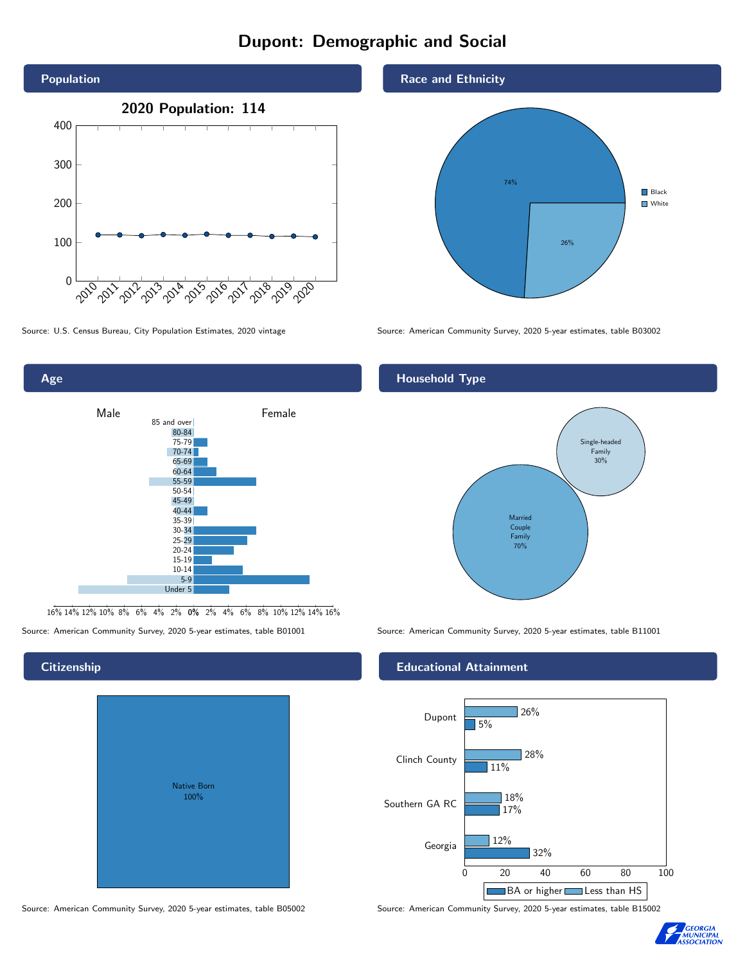# Dupont: Demographic and Social





16% 14% 12% 10% 8% 6% 4% 2% 0% 2% 4% 6% 8% 10% 12% 14% 16%

Source: American Community Survey, 2020 5-year estimates, table B01001 Source: American Community Survey, 2020 5-year estimates, table B11001

# **Citizenship**

| <b>Native Born</b><br>100% |  |
|----------------------------|--|

Race and Ethnicity



Source: U.S. Census Bureau, City Population Estimates, 2020 vintage Source: American Community Survey, 2020 5-year estimates, table B03002

## Household Type



### Educational Attainment



Source: American Community Survey, 2020 5-year estimates, table B05002 Source: American Community Survey, 2020 5-year estimates, table B15002

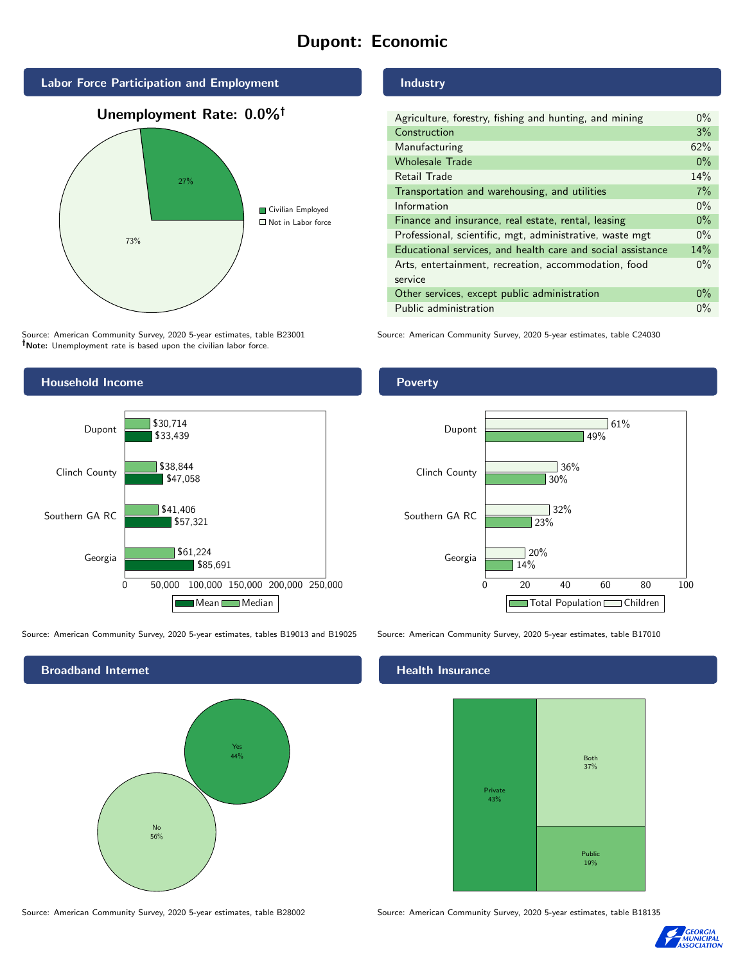# Dupont: Economic





Source: American Community Survey, 2020 5-year estimates, table B23001 Note: Unemployment rate is based upon the civilian labor force.



Source: American Community Survey, 2020 5-year estimates, tables B19013 and B19025 Source: American Community Survey, 2020 5-year estimates, table B17010

Broadband Internet No 56% Yes 44%

Source: American Community Survey, 2020 5-year estimates, table B28002 Source: American Community Survey, 2020 5-year estimates, table B18135

Industry

| Agriculture, forestry, fishing and hunting, and mining      | $0\%$ |
|-------------------------------------------------------------|-------|
| Construction                                                | 3%    |
| Manufacturing                                               | 62%   |
| <b>Wholesale Trade</b>                                      | $0\%$ |
| Retail Trade                                                | 14%   |
| Transportation and warehousing, and utilities               |       |
| Information                                                 | $0\%$ |
| Finance and insurance, real estate, rental, leasing         |       |
| Professional, scientific, mgt, administrative, waste mgt    |       |
| Educational services, and health care and social assistance |       |
| Arts, entertainment, recreation, accommodation, food        | $0\%$ |
| service                                                     |       |
| Other services, except public administration                |       |
| Public administration                                       | $0\%$ |

Source: American Community Survey, 2020 5-year estimates, table C24030

Poverty



#### Health Insurance